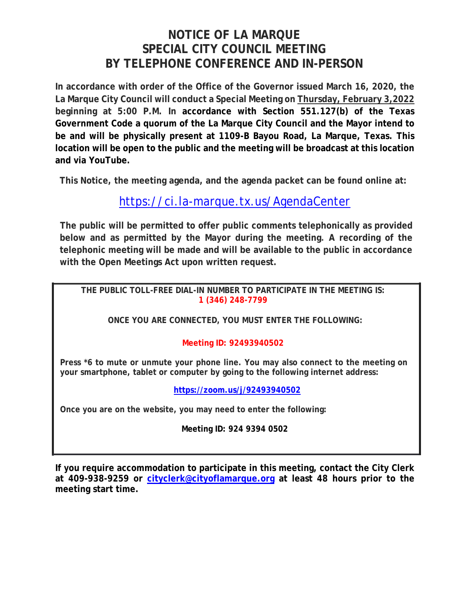# **NOTICE OF LA MARQUE SPECIAL CITY COUNCIL MEETING BY TELEPHONE CONFERENCE AND IN-PERSON**

**In accordance with order of the Office of the Governor issued March 16, 2020, the La Marque City Council will conduct a Special Meeting on Thursday, February 3,2022 beginning at 5:00 P.M. In accordance with Section 551.127(b) of the Texas Government Code a quorum of the La Marque City Council and the Mayor intend to be and will be physically present at 1109-B Bayou Road, La Marque, Texas. This location will be open to the public and the meeting will be broadcast at this location and via YouTube.** 

**This Notice, the meeting agenda, and the agenda packet can be found online at:**

## https://ci.la-marque.tx.us/AgendaCenter

**The public will be permitted to offer public comments telephonically as provided below and as permitted by the Mayor during the meeting. A recording of the telephonic meeting will be made and will be available to the public in accordance with the Open Meetings Act upon written request.**

**THE PUBLIC TOLL-FREE DIAL-IN NUMBER TO PARTICIPATE IN THE MEETING IS: 1 (346) 248-7799** 

**ONCE YOU ARE CONNECTED, YOU MUST ENTER THE FOLLOWING:** 

### **Meeting ID: 92493940502**

**Press \*6 to mute or unmute your phone line. You may also connect to the meeting on your smartphone, tablet or computer by going to the following internet address:**

**https://zoom.us/j/92493940502**

**Once you are on the website, you may need to enter the following:** 

**Meeting ID: 924 9394 0502** 

**If you require accommodation to participate in this meeting, contact the City Clerk at 409-938-9259 or cityclerk@cityoflamarque.org at least 48 hours prior to the meeting start time.**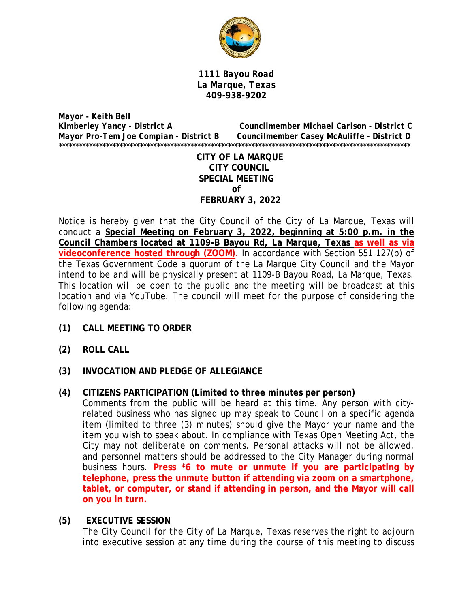

*1111 Bayou Road La Marque, Texas 409-938-9202* 

*Mayor - Keith Bell Kimberley Yancy - District A Councilmember Michael Carlson - District C Mayor Pro-Tem Joe Compian - District B Councilmember Casey McAuliffe - District D*  \*\*\*\*\*\*\*\*\*\*\*\*\*\*\*\*\*\*\*\*\*\*\*\*\*\*\*\*\*\*\*\*\*\*\*\*\*\*\*\*\*\*\*\*\*\*\*\*\*\*\*\*\*\*\*\*\*\*\*\*\*\*\*\*\*\*\*\*\*\*\*\*\*\*\*\*\*\*\*\*\*\*\*\*\*\*\*\*\*\*\*\*\*\*\*\*\*\*\*\*\*\*\*\*

> **CITY OF LA MARQUE CITY COUNCIL SPECIAL MEETING of FEBRUARY 3, 2022**

Notice is hereby given that the City Council of the City of La Marque, Texas will conduct a **Special Meeting on February 3, 2022, beginning at 5:00 p.m. in the Council Chambers located at 1109-B Bayou Rd, La Marque, Texas as well as via videoconference hosted through (ZOOM)**. In accordance with Section 551.127(b) of the Texas Government Code a quorum of the La Marque City Council and the Mayor intend to be and will be physically present at 1109-B Bayou Road, La Marque, Texas. This location will be open to the public and the meeting will be broadcast at this location and via YouTube. The council will meet for the purpose of considering the following agenda:

- **(1) CALL MEETING TO ORDER**
- **(2) ROLL CALL**
- **(3) INVOCATION AND PLEDGE OF ALLEGIANCE**
- **(4) CITIZENS PARTICIPATION (Limited to three minutes per person)**  Comments from the public will be heard at this time. Any person with cityrelated business who has signed up may speak to Council on a specific agenda item (limited to three (3) minutes) should give the Mayor your name and the item you wish to speak about. In compliance with Texas Open Meeting Act, the City may not deliberate on comments. Personal attacks will not be allowed, and personnel matters should be addressed to the City Manager during normal business hours. **Press \*6 to mute or unmute if you are participating by telephone, press the unmute button if attending via zoom on a smartphone, tablet, or computer, or stand if attending in person, and the Mayor will call on you in turn.**

#### **(5) EXECUTIVE SESSION**

The City Council for the City of La Marque, Texas reserves the right to adjourn into executive session at any time during the course of this meeting to discuss